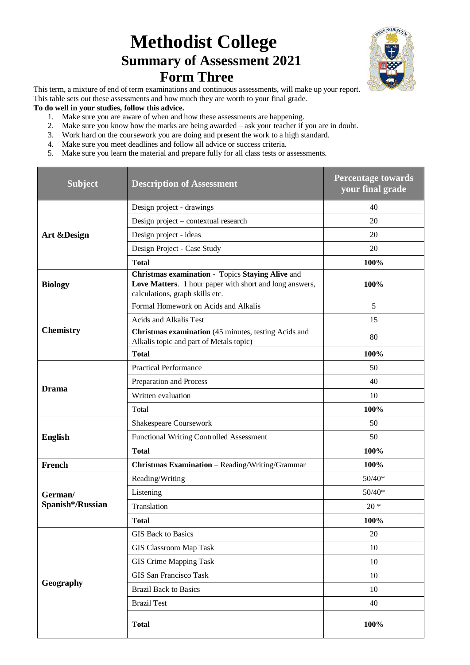## **Methodist College Summary of Assessment 2021 Form Three**



This term, a mixture of end of term examinations and continuous assessments, will make up your report. This table sets out these assessments and how much they are worth to your final grade.

## **To do well in your studies, follow this advice.**

- 1. Make sure you are aware of when and how these assessments are happening.
- 2. Make sure you know how the marks are being awarded ask your teacher if you are in doubt.
- 3. Work hard on the coursework you are doing and present the work to a high standard.
- 4. Make sure you meet deadlines and follow all advice or success criteria.
- 5. Make sure you learn the material and prepare fully for all class tests or assessments.

| <b>Subject</b>   | <b>Description of Assessment</b>                                                                                                               | <b>Percentage towards</b><br>your final grade |
|------------------|------------------------------------------------------------------------------------------------------------------------------------------------|-----------------------------------------------|
|                  | Design project - drawings                                                                                                                      | 40                                            |
|                  | Design project - contextual research                                                                                                           | 20                                            |
| Art & Design     | Design project - ideas                                                                                                                         | 20                                            |
|                  | Design Project - Case Study                                                                                                                    | 20                                            |
|                  | <b>Total</b>                                                                                                                                   | 100%                                          |
| <b>Biology</b>   | Christmas examination - Topics Staying Alive and<br>Love Matters. 1 hour paper with short and long answers,<br>calculations, graph skills etc. | 100%                                          |
|                  | Formal Homework on Acids and Alkalis                                                                                                           | 5                                             |
|                  | Acids and Alkalis Test                                                                                                                         | 15                                            |
| <b>Chemistry</b> | Christmas examination (45 minutes, testing Acids and<br>Alkalis topic and part of Metals topic)                                                | 80                                            |
|                  | <b>Total</b>                                                                                                                                   | 100%                                          |
|                  | <b>Practical Performance</b>                                                                                                                   | 50                                            |
| <b>Drama</b>     | Preparation and Process                                                                                                                        | 40                                            |
|                  | Written evaluation                                                                                                                             | 10                                            |
|                  | Total                                                                                                                                          | 100%                                          |
|                  | Shakespeare Coursework                                                                                                                         | 50                                            |
| <b>English</b>   | <b>Functional Writing Controlled Assessment</b>                                                                                                | 50                                            |
|                  | <b>Total</b>                                                                                                                                   | 100%                                          |
| French           | Christmas Examination - Reading/Writing/Grammar                                                                                                | 100%                                          |
|                  | Reading/Writing                                                                                                                                | $50/40*$                                      |
| German/          | Listening                                                                                                                                      | $50/40*$                                      |
| Spanish*/Russian | Translation                                                                                                                                    | $20 *$                                        |
|                  | <b>Total</b>                                                                                                                                   | 100%                                          |
|                  | <b>GIS Back to Basics</b>                                                                                                                      | 20                                            |
|                  | <b>GIS Classroom Map Task</b>                                                                                                                  | 10                                            |
|                  | <b>GIS Crime Mapping Task</b>                                                                                                                  | 10                                            |
|                  | <b>GIS San Francisco Task</b>                                                                                                                  | 10                                            |
| Geography        | <b>Brazil Back to Basics</b>                                                                                                                   | 10                                            |
|                  | <b>Brazil Test</b>                                                                                                                             | 40                                            |
|                  | <b>Total</b>                                                                                                                                   | 100%                                          |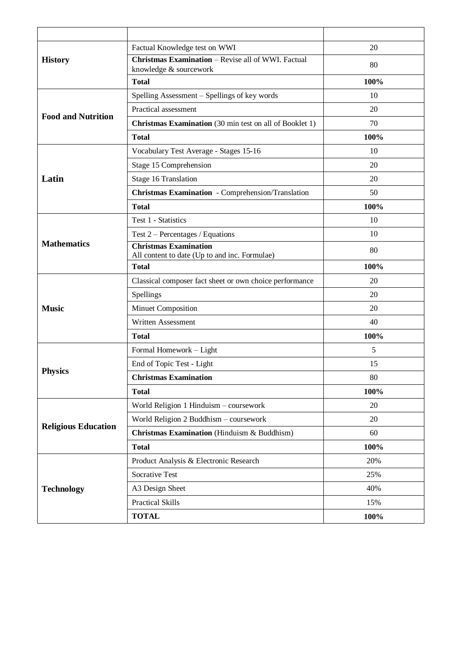|                            | Factual Knowledge test on WWI                                                 | 20   |
|----------------------------|-------------------------------------------------------------------------------|------|
| <b>History</b>             | Christmas Examination - Revise all of WWI. Factual<br>knowledge & sourcework  | 80   |
|                            | <b>Total</b>                                                                  | 100% |
|                            | Spelling Assessment - Spellings of key words                                  | 10   |
| <b>Food and Nutrition</b>  | Practical assessment                                                          | 20   |
|                            | <b>Christmas Examination</b> (30 min test on all of Booklet 1)                | 70   |
|                            | <b>Total</b>                                                                  | 100% |
|                            | Vocabulary Test Average - Stages 15-16                                        | 10   |
|                            | Stage 15 Comprehension                                                        | 20   |
| Latin                      | Stage 16 Translation                                                          | 20   |
|                            | Christmas Examination - Comprehension/Translation                             | 50   |
|                            | <b>Total</b>                                                                  | 100% |
|                            | Test 1 - Statistics                                                           | 10   |
|                            | Test $2$ – Percentages / Equations                                            | 10   |
| <b>Mathematics</b>         | <b>Christmas Examination</b><br>All content to date (Up to and inc. Formulae) | 80   |
|                            | <b>Total</b>                                                                  | 100% |
|                            | Classical composer fact sheet or own choice performance                       | 20   |
|                            | Spellings                                                                     | 20   |
| <b>Music</b>               | Minuet Composition                                                            | 20   |
|                            | Written Assessment                                                            | 40   |
|                            | <b>Total</b>                                                                  | 100% |
|                            | Formal Homework - Light                                                       | 5    |
| <b>Physics</b>             | End of Topic Test - Light                                                     | 15   |
|                            | <b>Christmas Examination</b>                                                  | 80   |
|                            | <b>Total</b>                                                                  | 100% |
|                            | World Religion 1 Hinduism - coursework                                        | 20   |
|                            | World Religion 2 Buddhism - coursework                                        | 20   |
| <b>Religious Education</b> | Christmas Examination (Hinduism & Buddhism)                                   | 60   |
|                            | <b>Total</b>                                                                  | 100% |
|                            | Product Analysis & Electronic Research                                        | 20%  |
|                            | Socrative Test                                                                | 25%  |
| <b>Technology</b>          | A3 Design Sheet                                                               | 40%  |
|                            | <b>Practical Skills</b>                                                       | 15%  |
|                            | <b>TOTAL</b>                                                                  | 100% |